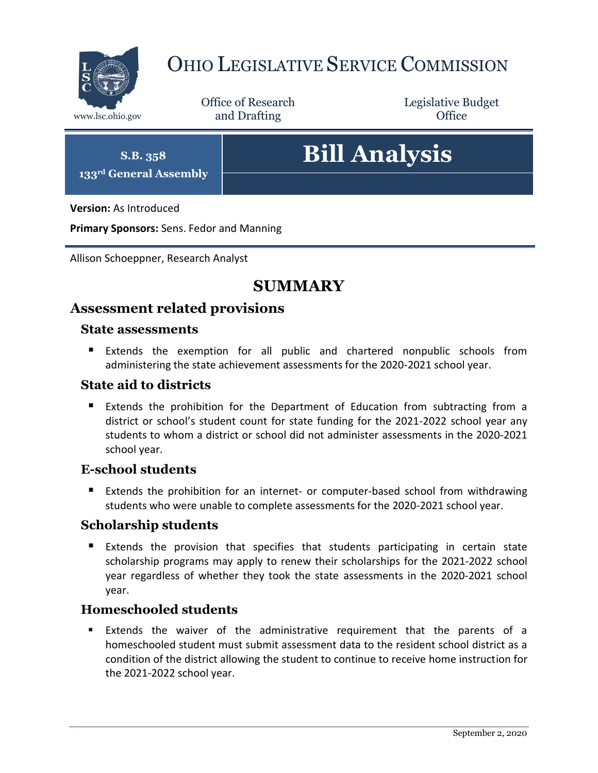

# OHIO LEGISLATIVE SERVICE COMMISSION

Office of Research www.lsc.ohio.gov **and Drafting Office** 

Legislative Budget

**S.B. 358 133rd General Assembly**

# **Bill Analysis**

**Version:** As Introduced

**Primary Sponsors:** Sens. Fedor and Manning

Allison Schoeppner, Research Analyst

## **SUMMARY**

## **Assessment related provisions**

#### **State assessments**

 Extends the exemption for all public and chartered nonpublic schools from administering the state achievement assessments for the 2020-2021 school year.

#### **State aid to districts**

**Extends the prohibition for the Department of Education from subtracting from a** district or school's student count for state funding for the 2021-2022 school year any students to whom a district or school did not administer assessments in the 2020-2021 school year.

#### **E-school students**

 Extends the prohibition for an internet- or computer-based school from withdrawing students who were unable to complete assessments for the 2020-2021 school year.

#### **Scholarship students**

 Extends the provision that specifies that students participating in certain state scholarship programs may apply to renew their scholarships for the 2021-2022 school year regardless of whether they took the state assessments in the 2020-2021 school year.

#### **Homeschooled students**

 Extends the waiver of the administrative requirement that the parents of a homeschooled student must submit assessment data to the resident school district as a condition of the district allowing the student to continue to receive home instruction for the 2021-2022 school year.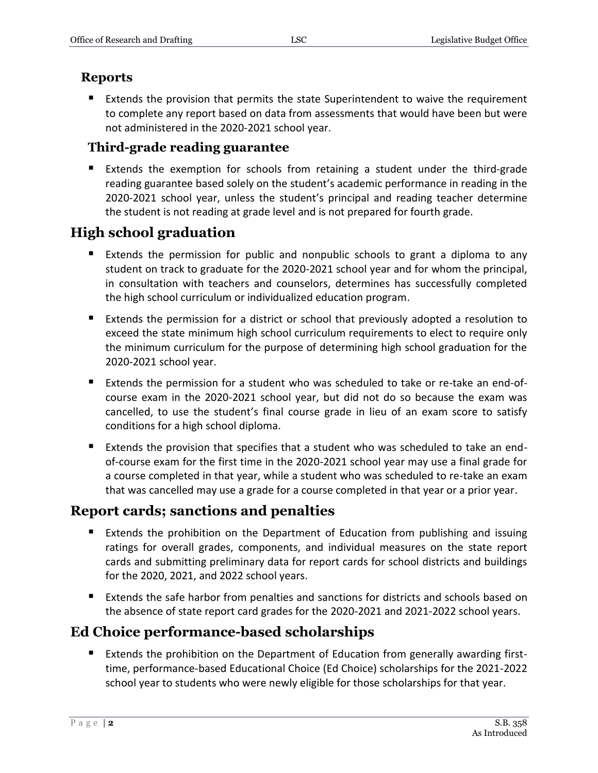#### **Reports**

 Extends the provision that permits the state Superintendent to waive the requirement to complete any report based on data from assessments that would have been but were not administered in the 2020-2021 school year.

#### **Third-grade reading guarantee**

 Extends the exemption for schools from retaining a student under the third-grade reading guarantee based solely on the student's academic performance in reading in the 2020-2021 school year, unless the student's principal and reading teacher determine the student is not reading at grade level and is not prepared for fourth grade.

## **High school graduation**

- Extends the permission for public and nonpublic schools to grant a diploma to any student on track to graduate for the 2020-2021 school year and for whom the principal, in consultation with teachers and counselors, determines has successfully completed the high school curriculum or individualized education program.
- Extends the permission for a district or school that previously adopted a resolution to exceed the state minimum high school curriculum requirements to elect to require only the minimum curriculum for the purpose of determining high school graduation for the 2020-2021 school year.
- Extends the permission for a student who was scheduled to take or re-take an end-ofcourse exam in the 2020-2021 school year, but did not do so because the exam was cancelled, to use the student's final course grade in lieu of an exam score to satisfy conditions for a high school diploma.
- Extends the provision that specifies that a student who was scheduled to take an endof-course exam for the first time in the 2020-2021 school year may use a final grade for a course completed in that year, while a student who was scheduled to re-take an exam that was cancelled may use a grade for a course completed in that year or a prior year.

## **Report cards; sanctions and penalties**

- Extends the prohibition on the Department of Education from publishing and issuing ratings for overall grades, components, and individual measures on the state report cards and submitting preliminary data for report cards for school districts and buildings for the 2020, 2021, and 2022 school years.
- Extends the safe harbor from penalties and sanctions for districts and schools based on the absence of state report card grades for the 2020-2021 and 2021-2022 school years.

## **Ed Choice performance-based scholarships**

 Extends the prohibition on the Department of Education from generally awarding firsttime, performance-based Educational Choice (Ed Choice) scholarships for the 2021-2022 school year to students who were newly eligible for those scholarships for that year.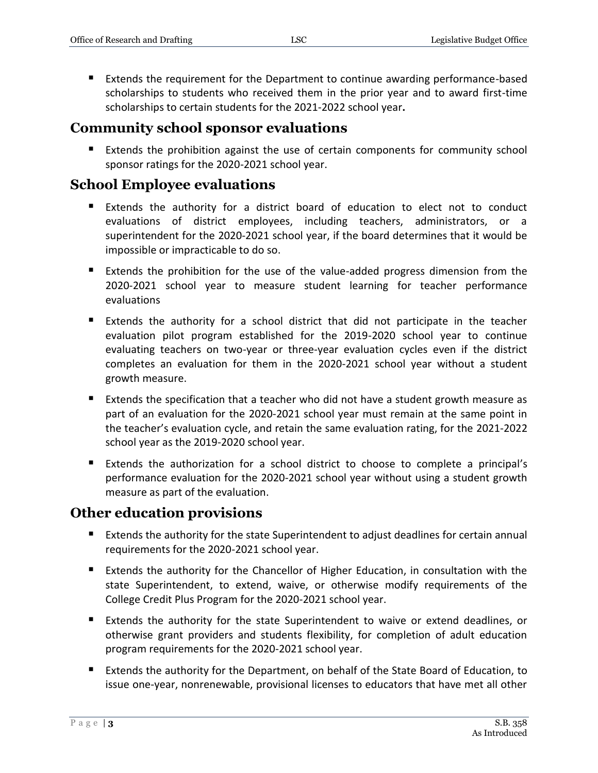Extends the requirement for the Department to continue awarding performance-based scholarships to students who received them in the prior year and to award first-time scholarships to certain students for the 2021-2022 school year**.**

#### **Community school sponsor evaluations**

Extends the prohibition against the use of certain components for community school sponsor ratings for the 2020-2021 school year.

### **School Employee evaluations**

- Extends the authority for a district board of education to elect not to conduct evaluations of district employees, including teachers, administrators, or a superintendent for the 2020-2021 school year, if the board determines that it would be impossible or impracticable to do so.
- Extends the prohibition for the use of the value-added progress dimension from the 2020-2021 school year to measure student learning for teacher performance evaluations
- Extends the authority for a school district that did not participate in the teacher evaluation pilot program established for the 2019-2020 school year to continue evaluating teachers on two-year or three-year evaluation cycles even if the district completes an evaluation for them in the 2020-2021 school year without a student growth measure.
- Extends the specification that a teacher who did not have a student growth measure as part of an evaluation for the 2020-2021 school year must remain at the same point in the teacher's evaluation cycle, and retain the same evaluation rating, for the 2021-2022 school year as the 2019-2020 school year.
- Extends the authorization for a school district to choose to complete a principal's performance evaluation for the 2020-2021 school year without using a student growth measure as part of the evaluation.

#### **Other education provisions**

- Extends the authority for the state Superintendent to adjust deadlines for certain annual requirements for the 2020-2021 school year.
- Extends the authority for the Chancellor of Higher Education, in consultation with the state Superintendent, to extend, waive, or otherwise modify requirements of the College Credit Plus Program for the 2020-2021 school year.
- Extends the authority for the state Superintendent to waive or extend deadlines, or otherwise grant providers and students flexibility, for completion of adult education program requirements for the 2020-2021 school year.
- Extends the authority for the Department, on behalf of the State Board of Education, to issue one-year, nonrenewable, provisional licenses to educators that have met all other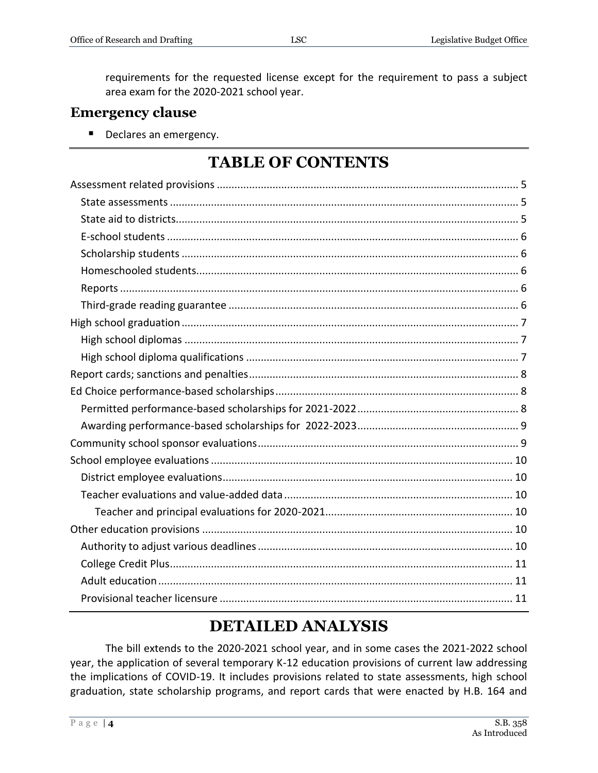requirements for the requested license except for the requirement to pass a subject area exam for the 2020-2021 school year.

## **Emergency clause**

Declares an emergency.

## **TABLE OF CONTENTS**

# **DETAILED ANALYSIS**

The bill extends to the 2020-2021 school year, and in some cases the 2021-2022 school year, the application of several temporary K-12 education provisions of current law addressing the implications of COVID-19. It includes provisions related to state assessments, high school graduation, state scholarship programs, and report cards that were enacted by H.B. 164 and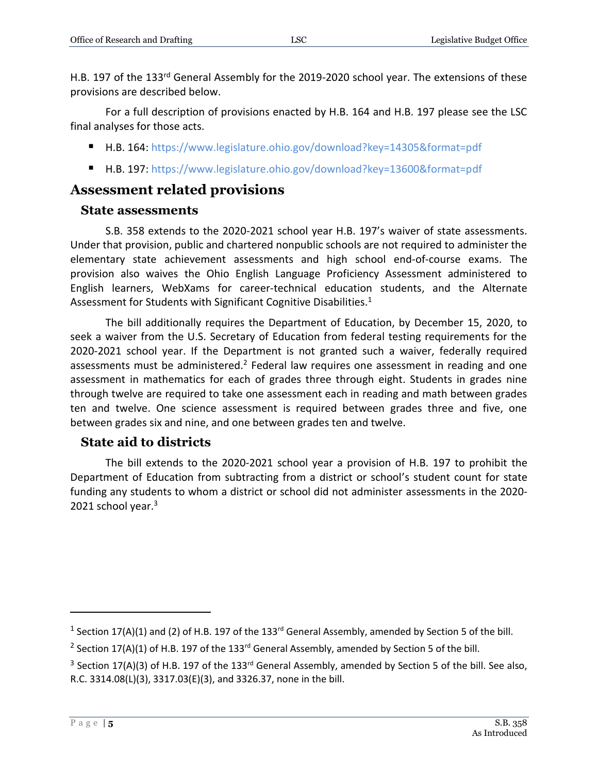H.B. 197 of the 133rd General Assembly for the 2019-2020 school year. The extensions of these provisions are described below.

For a full description of provisions enacted by H.B. 164 and H.B. 197 please see the LSC final analyses for those acts.

- H.B. 164:<https://www.legislature.ohio.gov/download?key=14305&format=pdf>
- H.B. 197:<https://www.legislature.ohio.gov/download?key=13600&format=pdf>

## <span id="page-4-0"></span>**Assessment related provisions**

### <span id="page-4-1"></span>**State assessments**

S.B. 358 extends to the 2020-2021 school year H.B. 197's waiver of state assessments. Under that provision, public and chartered nonpublic schools are not required to administer the elementary state achievement assessments and high school end-of-course exams. The provision also waives the Ohio English Language Proficiency Assessment administered to English learners, WebXams for career-technical education students, and the Alternate Assessment for Students with Significant Cognitive Disabilities.<sup>1</sup>

The bill additionally requires the Department of Education, by December 15, 2020, to seek a waiver from the U.S. Secretary of Education from federal testing requirements for the 2020-2021 school year. If the Department is not granted such a waiver, federally required assessments must be administered.<sup>2</sup> Federal law requires one assessment in reading and one assessment in mathematics for each of grades three through eight. Students in grades nine through twelve are required to take one assessment each in reading and math between grades ten and twelve. One science assessment is required between grades three and five, one between grades six and nine, and one between grades ten and twelve.

## <span id="page-4-2"></span>**State aid to districts**

The bill extends to the 2020-2021 school year a provision of H.B. 197 to prohibit the Department of Education from subtracting from a district or school's student count for state funding any students to whom a district or school did not administer assessments in the 2020- 2021 school year.<sup>3</sup>

<sup>&</sup>lt;sup>1</sup> Section 17(A)(1) and (2) of H.B. 197 of the 133<sup>rd</sup> General Assembly, amended by Section 5 of the bill.

<sup>&</sup>lt;sup>2</sup> Section 17(A)(1) of H.B. 197 of the 133<sup>rd</sup> General Assembly, amended by Section 5 of the bill.

<sup>&</sup>lt;sup>3</sup> Section 17(A)(3) of H.B. 197 of the 133<sup>rd</sup> General Assembly, amended by Section 5 of the bill. See also, R.C. 3314.08(L)(3), 3317.03(E)(3), and 3326.37, none in the bill.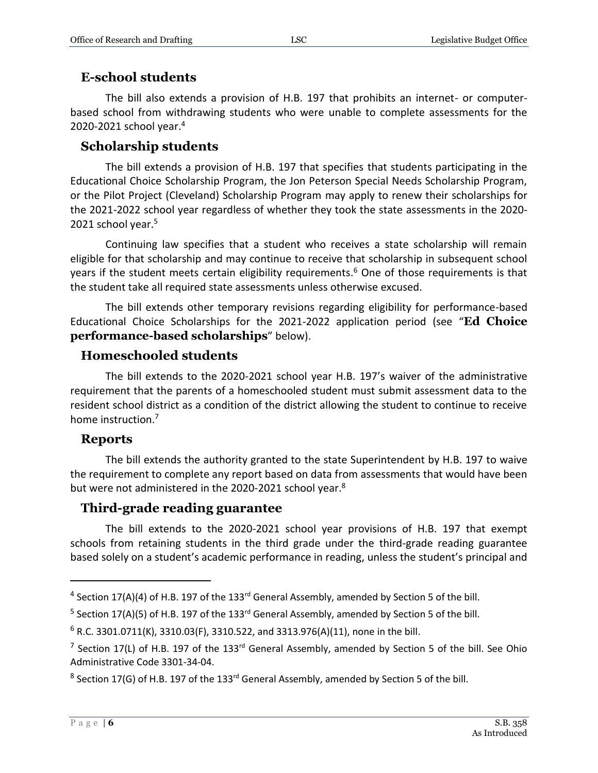#### <span id="page-5-0"></span>**E-school students**

The bill also extends a provision of H.B. 197 that prohibits an internet- or computerbased school from withdrawing students who were unable to complete assessments for the 2020-2021 school year.<sup>4</sup>

#### <span id="page-5-1"></span>**Scholarship students**

The bill extends a provision of H.B. 197 that specifies that students participating in the Educational Choice Scholarship Program, the Jon Peterson Special Needs Scholarship Program, or the Pilot Project (Cleveland) Scholarship Program may apply to renew their scholarships for the 2021-2022 school year regardless of whether they took the state assessments in the 2020- 2021 school year. 5

Continuing law specifies that a student who receives a state scholarship will remain eligible for that scholarship and may continue to receive that scholarship in subsequent school years if the student meets certain eligibility requirements.<sup>6</sup> One of those requirements is that the student take all required state assessments unless otherwise excused.

The bill extends other temporary revisions regarding eligibility for performance-based Educational Choice Scholarships for the 2021-2022 application period (see "**Ed Choice performance-based scholarships**" below).

#### <span id="page-5-2"></span>**Homeschooled students**

The bill extends to the 2020-2021 school year H.B. 197's waiver of the administrative requirement that the parents of a homeschooled student must submit assessment data to the resident school district as a condition of the district allowing the student to continue to receive home instruction.<sup>7</sup>

#### <span id="page-5-3"></span>**Reports**

The bill extends the authority granted to the state Superintendent by H.B. 197 to waive the requirement to complete any report based on data from assessments that would have been but were not administered in the 2020-2021 school year.<sup>8</sup>

#### <span id="page-5-4"></span>**Third-grade reading guarantee**

The bill extends to the 2020-2021 school year provisions of H.B. 197 that exempt schools from retaining students in the third grade under the third-grade reading guarantee based solely on a student's academic performance in reading, unless the student's principal and

 $^4$  Section 17(A)(4) of H.B. 197 of the 133<sup>rd</sup> General Assembly, amended by Section 5 of the bill.

<sup>&</sup>lt;sup>5</sup> Section 17(A)(5) of H.B. 197 of the 133<sup>rd</sup> General Assembly, amended by Section 5 of the bill.

 $6$  R.C. 3301.0711(K), 3310.03(F), 3310.522, and 3313.976(A)(11), none in the bill.

<sup>&</sup>lt;sup>7</sup> Section 17(L) of H.B. 197 of the 133<sup>rd</sup> General Assembly, amended by Section 5 of the bill. See Ohio Administrative Code 3301-34-04.

 $^8$  Section 17(G) of H.B. 197 of the 133<sup>rd</sup> General Assembly, amended by Section 5 of the bill.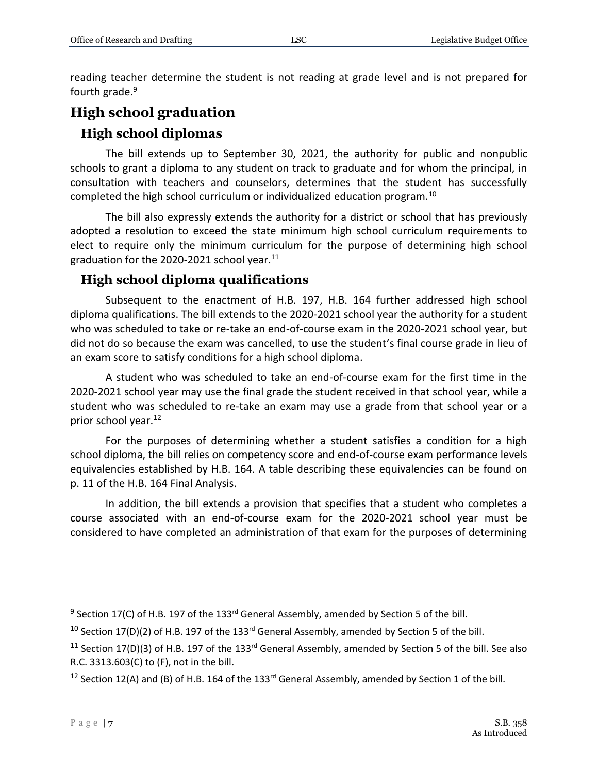reading teacher determine the student is not reading at grade level and is not prepared for fourth grade. 9

## <span id="page-6-0"></span>**High school graduation**

#### <span id="page-6-1"></span>**High school diplomas**

The bill extends up to September 30, 2021, the authority for public and nonpublic schools to grant a diploma to any student on track to graduate and for whom the principal, in consultation with teachers and counselors, determines that the student has successfully completed the high school curriculum or individualized education program.<sup>10</sup>

The bill also expressly extends the authority for a district or school that has previously adopted a resolution to exceed the state minimum high school curriculum requirements to elect to require only the minimum curriculum for the purpose of determining high school graduation for the 2020-2021 school year. $11$ 

#### <span id="page-6-2"></span>**High school diploma qualifications**

Subsequent to the enactment of H.B. 197, H.B. 164 further addressed high school diploma qualifications. The bill extends to the 2020-2021 school year the authority for a student who was scheduled to take or re-take an end-of-course exam in the 2020-2021 school year, but did not do so because the exam was cancelled, to use the student's final course grade in lieu of an exam score to satisfy conditions for a high school diploma.

A student who was scheduled to take an end-of-course exam for the first time in the 2020-2021 school year may use the final grade the student received in that school year, while a student who was scheduled to re-take an exam may use a grade from that school year or a prior school year.<sup>12</sup>

For the purposes of determining whether a student satisfies a condition for a high school diploma, the bill relies on competency score and end-of-course exam performance levels equivalencies established by H.B. 164. A table describing these equivalencies can be found on p. 11 of the H.B. 164 Final Analysis.

In addition, the bill extends a provision that specifies that a student who completes a course associated with an end-of-course exam for the 2020-2021 school year must be considered to have completed an administration of that exam for the purposes of determining

 $9$  Section 17(C) of H.B. 197 of the 133<sup>rd</sup> General Assembly, amended by Section 5 of the bill.

<sup>&</sup>lt;sup>10</sup> Section 17(D)(2) of H.B. 197 of the 133<sup>rd</sup> General Assembly, amended by Section 5 of the bill.

<sup>&</sup>lt;sup>11</sup> Section 17(D)(3) of H.B. 197 of the 133<sup>rd</sup> General Assembly, amended by Section 5 of the bill. See also R.C. 3313.603(C) to (F), not in the bill.

<sup>&</sup>lt;sup>12</sup> Section 12(A) and (B) of H.B. 164 of the 133<sup>rd</sup> General Assembly, amended by Section 1 of the bill.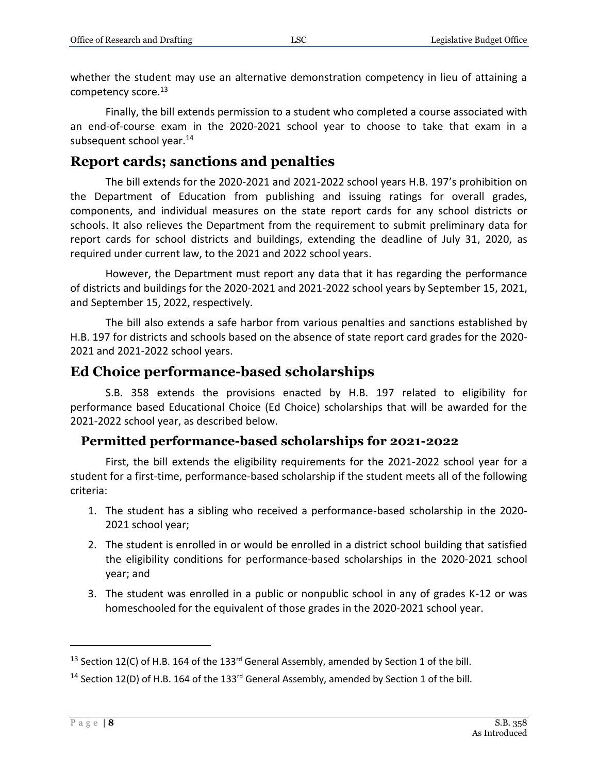whether the student may use an alternative demonstration competency in lieu of attaining a competency score.<sup>13</sup>

Finally, the bill extends permission to a student who completed a course associated with an end-of-course exam in the 2020-2021 school year to choose to take that exam in a subsequent school year.<sup>14</sup>

## <span id="page-7-0"></span>**Report cards; sanctions and penalties**

The bill extends for the 2020-2021 and 2021-2022 school years H.B. 197's prohibition on the Department of Education from publishing and issuing ratings for overall grades, components, and individual measures on the state report cards for any school districts or schools. It also relieves the Department from the requirement to submit preliminary data for report cards for school districts and buildings, extending the deadline of July 31, 2020, as required under current law, to the 2021 and 2022 school years.

However, the Department must report any data that it has regarding the performance of districts and buildings for the 2020-2021 and 2021-2022 school years by September 15, 2021, and September 15, 2022, respectively.

The bill also extends a safe harbor from various penalties and sanctions established by H.B. 197 for districts and schools based on the absence of state report card grades for the 2020- 2021 and 2021-2022 school years.

## <span id="page-7-1"></span>**Ed Choice performance-based scholarships**

S.B. 358 extends the provisions enacted by H.B. 197 related to eligibility for performance based Educational Choice (Ed Choice) scholarships that will be awarded for the 2021-2022 school year, as described below.

#### <span id="page-7-2"></span>**Permitted performance-based scholarships for 2021-2022**

First, the bill extends the eligibility requirements for the 2021-2022 school year for a student for a first-time, performance-based scholarship if the student meets all of the following criteria:

- 1. The student has a sibling who received a performance-based scholarship in the 2020- 2021 school year;
- 2. The student is enrolled in or would be enrolled in a district school building that satisfied the eligibility conditions for performance-based scholarships in the 2020-2021 school year; and
- 3. The student was enrolled in a public or nonpublic school in any of grades K-12 or was homeschooled for the equivalent of those grades in the 2020-2021 school year.

<sup>&</sup>lt;sup>13</sup> Section 12(C) of H.B. 164 of the 133<sup>rd</sup> General Assembly, amended by Section 1 of the bill.

<sup>&</sup>lt;sup>14</sup> Section 12(D) of H.B. 164 of the 133<sup>rd</sup> General Assembly, amended by Section 1 of the bill.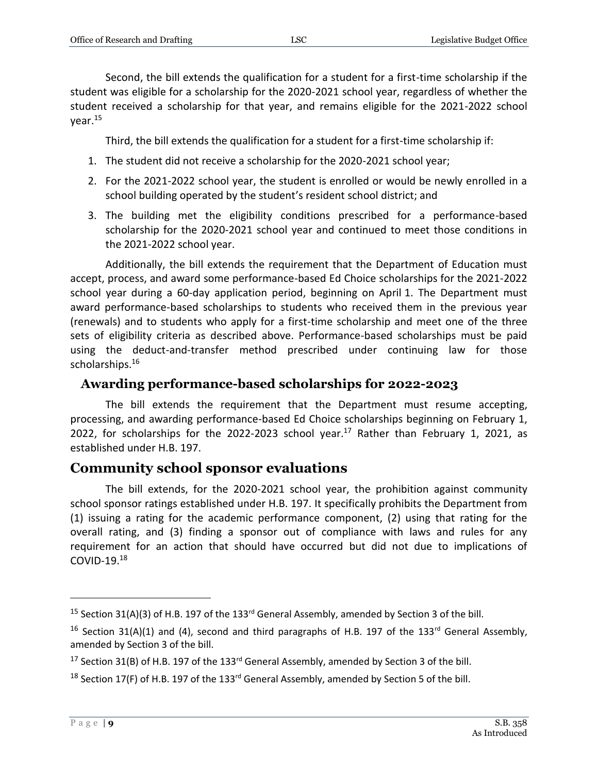Second, the bill extends the qualification for a student for a first-time scholarship if the student was eligible for a scholarship for the 2020-2021 school year, regardless of whether the student received a scholarship for that year, and remains eligible for the 2021-2022 school year.<sup>15</sup>

Third, the bill extends the qualification for a student for a first-time scholarship if:

- 1. The student did not receive a scholarship for the 2020-2021 school year;
- 2. For the 2021-2022 school year, the student is enrolled or would be newly enrolled in a school building operated by the student's resident school district; and
- 3. The building met the eligibility conditions prescribed for a performance-based scholarship for the 2020-2021 school year and continued to meet those conditions in the 2021-2022 school year.

Additionally, the bill extends the requirement that the Department of Education must accept, process, and award some performance-based Ed Choice scholarships for the 2021-2022 school year during a 60-day application period, beginning on April 1. The Department must award performance-based scholarships to students who received them in the previous year (renewals) and to students who apply for a first-time scholarship and meet one of the three sets of eligibility criteria as described above. Performance-based scholarships must be paid using the deduct-and-transfer method prescribed under continuing law for those scholarships.<sup>16</sup>

#### <span id="page-8-0"></span>**Awarding performance-based scholarships for 2022-2023**

The bill extends the requirement that the Department must resume accepting, processing, and awarding performance-based Ed Choice scholarships beginning on February 1, 2022, for scholarships for the 2022-2023 school year.<sup>17</sup> Rather than February 1, 2021, as established under H.B. 197.

## <span id="page-8-1"></span>**Community school sponsor evaluations**

The bill extends, for the 2020-2021 school year, the prohibition against community school sponsor ratings established under H.B. 197. It specifically prohibits the Department from (1) issuing a rating for the academic performance component, (2) using that rating for the overall rating, and (3) finding a sponsor out of compliance with laws and rules for any requirement for an action that should have occurred but did not due to implications of COVID-19. $18$ 

<sup>&</sup>lt;sup>15</sup> Section 31(A)(3) of H.B. 197 of the 133<sup>rd</sup> General Assembly, amended by Section 3 of the bill.

<sup>&</sup>lt;sup>16</sup> Section 31(A)(1) and (4), second and third paragraphs of H.B. 197 of the 133<sup>rd</sup> General Assembly, amended by Section 3 of the bill.

<sup>&</sup>lt;sup>17</sup> Section 31(B) of H.B. 197 of the 133<sup>rd</sup> General Assembly, amended by Section 3 of the bill.

<sup>&</sup>lt;sup>18</sup> Section 17(F) of H.B. 197 of the 133<sup>rd</sup> General Assembly, amended by Section 5 of the bill.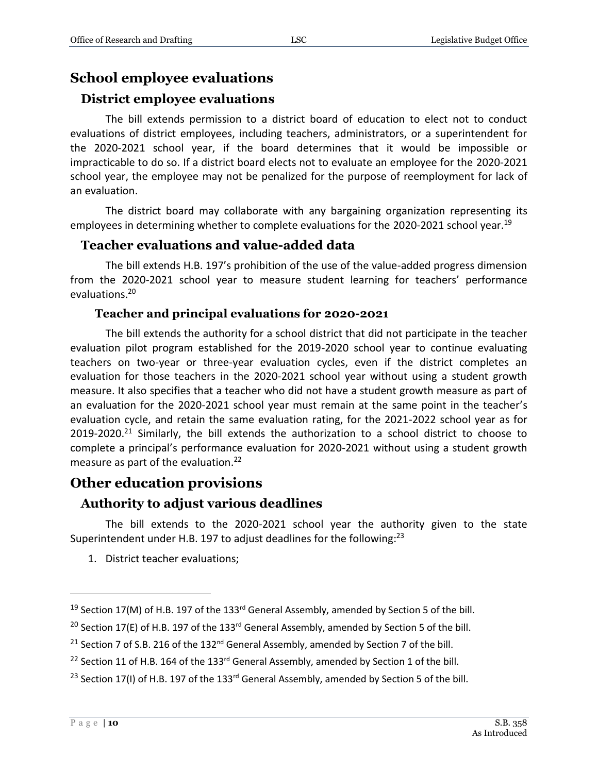## <span id="page-9-0"></span>**School employee evaluations**

#### <span id="page-9-1"></span>**District employee evaluations**

The bill extends permission to a district board of education to elect not to conduct evaluations of district employees, including teachers, administrators, or a superintendent for the 2020-2021 school year, if the board determines that it would be impossible or impracticable to do so. If a district board elects not to evaluate an employee for the 2020-2021 school year, the employee may not be penalized for the purpose of reemployment for lack of an evaluation.

The district board may collaborate with any bargaining organization representing its employees in determining whether to complete evaluations for the 2020-2021 school year.<sup>19</sup>

#### <span id="page-9-2"></span>**Teacher evaluations and value-added data**

The bill extends H.B. 197's prohibition of the use of the value-added progress dimension from the 2020-2021 school year to measure student learning for teachers' performance evaluations. 20

#### **Teacher and principal evaluations for 2020-2021**

<span id="page-9-3"></span>The bill extends the authority for a school district that did not participate in the teacher evaluation pilot program established for the 2019-2020 school year to continue evaluating teachers on two-year or three-year evaluation cycles, even if the district completes an evaluation for those teachers in the 2020-2021 school year without using a student growth measure. It also specifies that a teacher who did not have a student growth measure as part of an evaluation for the 2020-2021 school year must remain at the same point in the teacher's evaluation cycle, and retain the same evaluation rating, for the 2021-2022 school year as for  $2019-2020$ <sup>21</sup> Similarly, the bill extends the authorization to a school district to choose to complete a principal's performance evaluation for 2020-2021 without using a student growth measure as part of the evaluation.<sup>22</sup>

#### <span id="page-9-4"></span>**Other education provisions**

#### <span id="page-9-5"></span>**Authority to adjust various deadlines**

The bill extends to the 2020-2021 school year the authority given to the state Superintendent under H.B. 197 to adjust deadlines for the following:<sup>23</sup>

1. District teacher evaluations;

<sup>&</sup>lt;sup>19</sup> Section 17(M) of H.B. 197 of the 133<sup>rd</sup> General Assembly, amended by Section 5 of the bill.

<sup>&</sup>lt;sup>20</sup> Section 17(E) of H.B. 197 of the 133<sup>rd</sup> General Assembly, amended by Section 5 of the bill.

<sup>&</sup>lt;sup>21</sup> Section 7 of S.B. 216 of the 132<sup>nd</sup> General Assembly, amended by Section 7 of the bill.

<sup>&</sup>lt;sup>22</sup> Section 11 of H.B. 164 of the 133<sup>rd</sup> General Assembly, amended by Section 1 of the bill.

<sup>&</sup>lt;sup>23</sup> Section 17(I) of H.B. 197 of the 133<sup>rd</sup> General Assembly, amended by Section 5 of the bill.